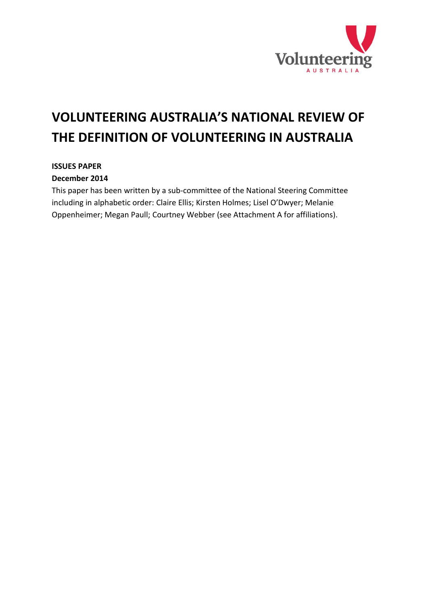

# **VOLUNTEERING AUSTRALIA'S NATIONAL REVIEW OF THE DEFINITION OF VOLUNTEERING IN AUSTRALIA**

#### **ISSUES PAPER**

#### **December 2014**

This paper has been written by a sub-committee of the National Steering Committee including in alphabetic order: Claire Ellis; Kirsten Holmes; Lisel O'Dwyer; Melanie Oppenheimer; Megan Paull; Courtney Webber (see Attachment A for affiliations).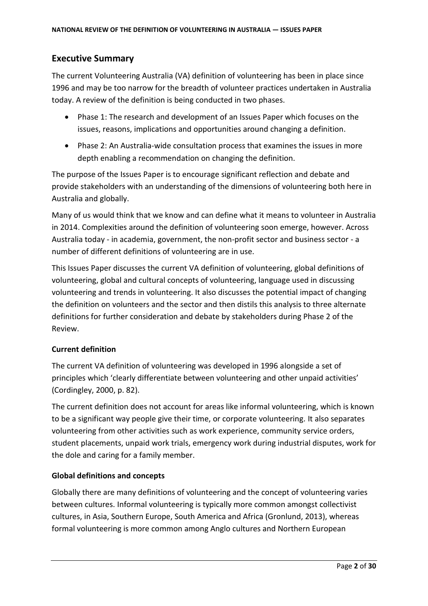# <span id="page-1-0"></span>**Executive Summary**

The current Volunteering Australia (VA) definition of volunteering has been in place since 1996 and may be too narrow for the breadth of volunteer practices undertaken in Australia today. A review of the definition is being conducted in two phases.

- Phase 1: The research and development of an Issues Paper which focuses on the issues, reasons, implications and opportunities around changing a definition.
- Phase 2: An Australia-wide consultation process that examines the issues in more depth enabling a recommendation on changing the definition.

The purpose of the Issues Paper is to encourage significant reflection and debate and provide stakeholders with an understanding of the dimensions of volunteering both here in Australia and globally.

Many of us would think that we know and can define what it means to volunteer in Australia in 2014. Complexities around the definition of volunteering soon emerge, however. Across Australia today - in academia, government, the non-profit sector and business sector - a number of different definitions of volunteering are in use.

This Issues Paper discusses the current VA definition of volunteering, global definitions of volunteering, global and cultural concepts of volunteering, language used in discussing volunteering and trends in volunteering. It also discusses the potential impact of changing the definition on volunteers and the sector and then distils this analysis to three alternate definitions for further consideration and debate by stakeholders during Phase 2 of the Review.

## **Current definition**

The current VA definition of volunteering was developed in 1996 alongside a set of principles which 'clearly differentiate between volunteering and other unpaid activities' (Cordingley, 2000, p. 82).

The current definition does not account for areas like informal volunteering, which is known to be a significant way people give their time, or corporate volunteering. It also separates volunteering from other activities such as work experience, community service orders, student placements, unpaid work trials, emergency work during industrial disputes, work for the dole and caring for a family member.

#### **Global definitions and concepts**

Globally there are many definitions of volunteering and the concept of volunteering varies between cultures. Informal volunteering is typically more common amongst collectivist cultures, in Asia, Southern Europe, South America and Africa (Gronlund, 2013), whereas formal volunteering is more common among Anglo cultures and Northern European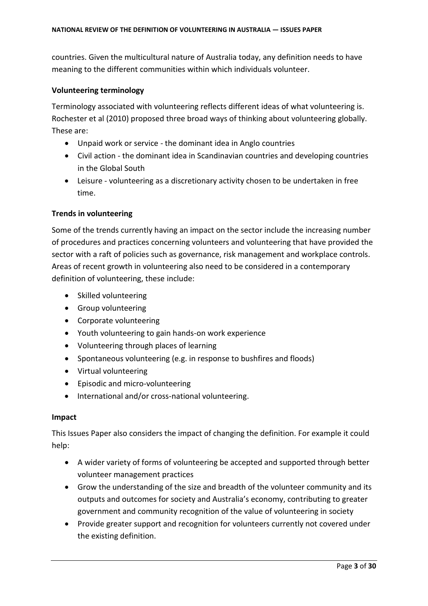countries. Given the multicultural nature of Australia today, any definition needs to have meaning to the different communities within which individuals volunteer.

#### **Volunteering terminology**

Terminology associated with volunteering reflects different ideas of what volunteering is. Rochester et al (2010) proposed three broad ways of thinking about volunteering globally. These are:

- Unpaid work or service the dominant idea in Anglo countries
- Civil action the dominant idea in Scandinavian countries and developing countries in the Global South
- Leisure volunteering as a discretionary activity chosen to be undertaken in free time.

#### **Trends in volunteering**

Some of the trends currently having an impact on the sector include the increasing number of procedures and practices concerning volunteers and volunteering that have provided the sector with a raft of policies such as governance, risk management and workplace controls. Areas of recent growth in volunteering also need to be considered in a contemporary definition of volunteering, these include:

- Skilled volunteering
- Group volunteering
- Corporate volunteering
- Youth volunteering to gain hands-on work experience
- Volunteering through places of learning
- Spontaneous volunteering (e.g. in response to bushfires and floods)
- Virtual volunteering
- Episodic and micro-volunteering
- International and/or cross-national volunteering.

#### **Impact**

This Issues Paper also considers the impact of changing the definition. For example it could help:

- A wider variety of forms of volunteering be accepted and supported through better volunteer management practices
- Grow the understanding of the size and breadth of the volunteer community and its outputs and outcomes for society and Australia's economy, contributing to greater government and community recognition of the value of volunteering in society
- Provide greater support and recognition for volunteers currently not covered under the existing definition.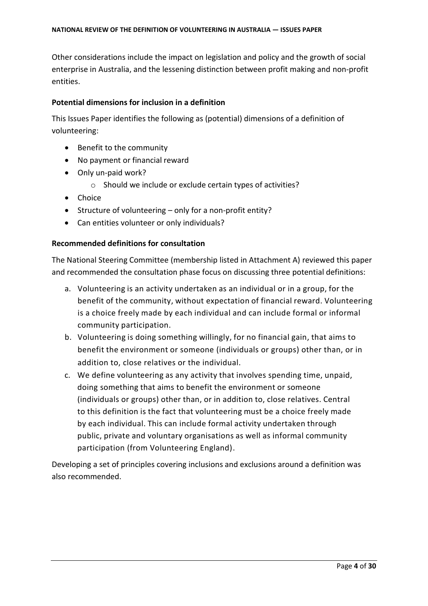Other considerations include the impact on legislation and policy and the growth of social enterprise in Australia, and the lessening distinction between profit making and non-profit entities.

#### **Potential dimensions for inclusion in a definition**

This Issues Paper identifies the following as (potential) dimensions of a definition of volunteering:

- Benefit to the community
- No payment or financial reward
- Only un-paid work?
	- o Should we include or exclude certain types of activities?
- Choice
- Structure of volunteering only for a non-profit entity?
- Can entities volunteer or only individuals?

#### **Recommended definitions for consultation**

The National Steering Committee (membership listed in Attachment A) reviewed this paper and recommended the consultation phase focus on discussing three potential definitions:

- a. Volunteering is an activity undertaken as an individual or in a group, for the benefit of the community, without expectation of financial reward. Volunteering is a choice freely made by each individual and can include formal or informal community participation.
- b. Volunteering is doing something willingly, for no financial gain, that aims to benefit the environment or someone (individuals or groups) other than, or in addition to, close relatives or the individual.
- c. We define volunteering as any activity that involves spending time, unpaid, doing something that aims to benefit the environment or someone (individuals or groups) other than, or in addition to, close relatives. Central to this definition is the fact that volunteering must be a choice freely made by each individual. This can include formal activity undertaken through public, private and voluntary organisations as well as informal community participation (from Volunteering England).

Developing a set of principles covering inclusions and exclusions around a definition was also recommended.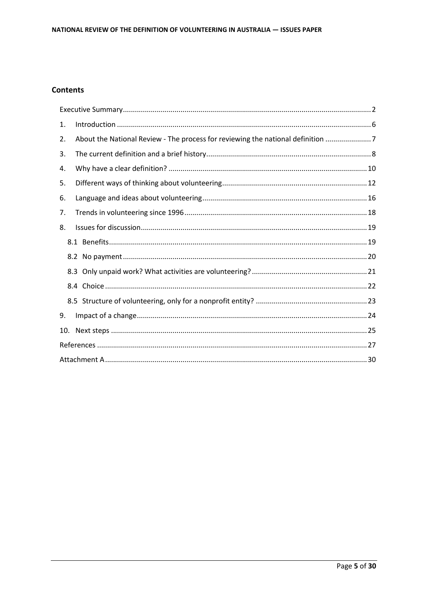#### **Contents**

| 1. |                                                                               |  |
|----|-------------------------------------------------------------------------------|--|
| 2. | About the National Review - The process for reviewing the national definition |  |
| 3. |                                                                               |  |
| 4. |                                                                               |  |
| 5. |                                                                               |  |
| 6. |                                                                               |  |
| 7. |                                                                               |  |
| 8. |                                                                               |  |
|    |                                                                               |  |
|    |                                                                               |  |
|    |                                                                               |  |
|    |                                                                               |  |
|    |                                                                               |  |
| 9. |                                                                               |  |
|    |                                                                               |  |
|    |                                                                               |  |
|    |                                                                               |  |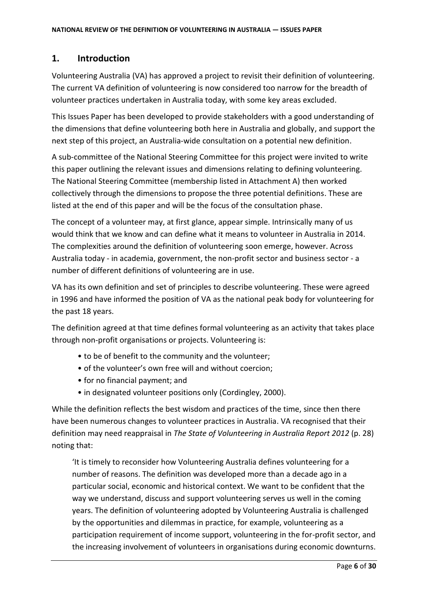## <span id="page-5-0"></span>**1. Introduction**

Volunteering Australia (VA) has approved a project to revisit their definition of volunteering. The current VA definition of volunteering is now considered too narrow for the breadth of volunteer practices undertaken in Australia today, with some key areas excluded.

This Issues Paper has been developed to provide stakeholders with a good understanding of the dimensions that define volunteering both here in Australia and globally, and support the next step of this project, an Australia-wide consultation on a potential new definition.

A sub-committee of the National Steering Committee for this project were invited to write this paper outlining the relevant issues and dimensions relating to defining volunteering. The National Steering Committee (membership listed in Attachment A) then worked collectively through the dimensions to propose the three potential definitions. These are listed at the end of this paper and will be the focus of the consultation phase.

The concept of a volunteer may, at first glance, appear simple. Intrinsically many of us would think that we know and can define what it means to volunteer in Australia in 2014. The complexities around the definition of volunteering soon emerge, however. Across Australia today - in academia, government, the non-profit sector and business sector - a number of different definitions of volunteering are in use.

VA has its own definition and set of principles to describe volunteering. These were agreed in 1996 and have informed the position of VA as the national peak body for volunteering for the past 18 years.

The definition agreed at that time defines formal volunteering as an activity that takes place through non-profit organisations or projects. Volunteering is:

- to be of benefit to the community and the volunteer;
- of the volunteer's own free will and without coercion;
- for no financial payment; and
- in designated volunteer positions only (Cordingley, 2000).

While the definition reflects the best wisdom and practices of the time, since then there have been numerous changes to volunteer practices in Australia. VA recognised that their definition may need reappraisal in *The State of Volunteering in Australia Report 2012* (p. 28) noting that:

'It is timely to reconsider how Volunteering Australia defines volunteering for a number of reasons. The definition was developed more than a decade ago in a particular social, economic and historical context. We want to be confident that the way we understand, discuss and support volunteering serves us well in the coming years. The definition of volunteering adopted by Volunteering Australia is challenged by the opportunities and dilemmas in practice, for example, volunteering as a participation requirement of income support, volunteering in the for-profit sector, and the increasing involvement of volunteers in organisations during economic downturns.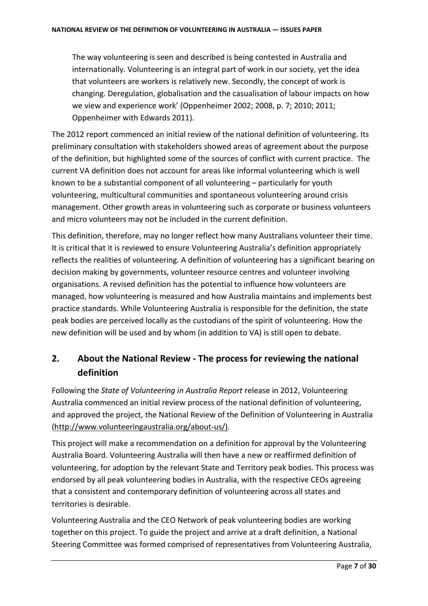The way volunteering is seen and described is being contested in Australia and internationally. Volunteering is an integral part of work in our society, yet the idea that volunteers are workers is relatively new. Secondly, the concept of work is changing. Deregulation, globalisation and the casualisation of labour impacts on how we view and experience work' (Oppenheimer 2002; 2008, p. 7; 2010; 2011; Oppenheimer with Edwards 2011).

The 2012 report commenced an initial review of the national definition of volunteering. Its preliminary consultation with stakeholders showed areas of agreement about the purpose of the definition, but highlighted some of the sources of conflict with current practice. The current VA definition does not account for areas like informal volunteering which is well known to be a substantial component of all volunteering – particularly for youth volunteering, multicultural communities and spontaneous volunteering around crisis management. Other growth areas in volunteering such as corporate or business volunteers and micro volunteers may not be included in the current definition.

This definition, therefore, may no longer reflect how many Australians volunteer their time. It is critical that it is reviewed to ensure Volunteering Australia's definition appropriately reflects the realities of volunteering. A definition of volunteering has a significant bearing on decision making by governments, volunteer resource centres and volunteer involving organisations. A revised definition has the potential to influence how volunteers are managed, how volunteering is measured and how Australia maintains and implements best practice standards. While Volunteering Australia is responsible for the definition, the state peak bodies are perceived locally as the custodians of the spirit of volunteering. How the new definition will be used and by whom (in addition to VA) is still open to debate.

# <span id="page-6-0"></span>**2. About the National Review - The process for reviewing the national definition**

Following the *State of Volunteering in Australia Report* release in 2012, Volunteering Australia commenced an initial review process of the national definition of volunteering, and approved the project, the National Review of the Definition of Volunteering in Australia [\(http://www.volunteeringaustralia.org/about-us/\)](http://www.volunteeringaustralia.org/about-us/).

This project will make a recommendation on a definition for approval by the Volunteering Australia Board. Volunteering Australia will then have a new or reaffirmed definition of volunteering, for adoption by the relevant State and Territory peak bodies. This process was endorsed by all peak volunteering bodies in Australia, with the respective CEOs agreeing that a consistent and contemporary definition of volunteering across all states and territories is desirable.

Volunteering Australia and the CEO Network of peak volunteering bodies are working together on this project. To guide the project and arrive at a draft definition, a National Steering Committee was formed comprised of representatives from Volunteering Australia,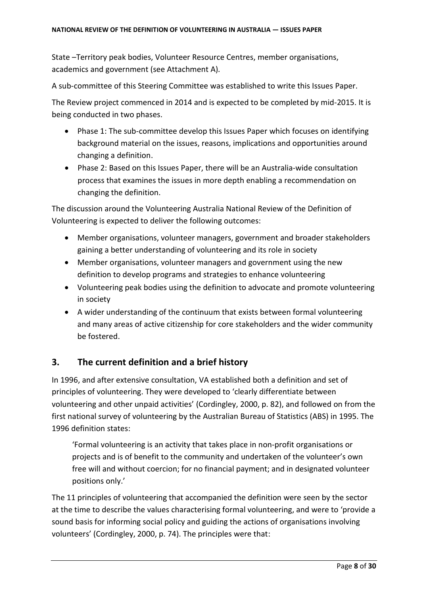State –Territory peak bodies, Volunteer Resource Centres, member organisations, academics and government (see Attachment A)*.* 

A sub-committee of this Steering Committee was established to write this Issues Paper.

The Review project commenced in 2014 and is expected to be completed by mid-2015. It is being conducted in two phases.

- Phase 1: The sub-committee develop this Issues Paper which focuses on identifying background material on the issues, reasons, implications and opportunities around changing a definition.
- Phase 2: Based on this Issues Paper, there will be an Australia-wide consultation process that examines the issues in more depth enabling a recommendation on changing the definition.

The discussion around the Volunteering Australia National Review of the Definition of Volunteering is expected to deliver the following outcomes:

- Member organisations, volunteer managers, government and broader stakeholders gaining a better understanding of volunteering and its role in society
- Member organisations, volunteer managers and government using the new definition to develop programs and strategies to enhance volunteering
- Volunteering peak bodies using the definition to advocate and promote volunteering in society
- A wider understanding of the continuum that exists between formal volunteering and many areas of active citizenship for core stakeholders and the wider community be fostered.

# <span id="page-7-0"></span>**3. The current definition and a brief history**

In 1996, and after extensive consultation, VA established both a definition and set of principles of volunteering. They were developed to 'clearly differentiate between volunteering and other unpaid activities' (Cordingley, 2000, p. 82), and followed on from the first national survey of volunteering by the Australian Bureau of Statistics (ABS) in 1995. The 1996 definition states:

'Formal volunteering is an activity that takes place in non-profit organisations or projects and is of benefit to the community and undertaken of the volunteer's own free will and without coercion; for no financial payment; and in designated volunteer positions only.'

The 11 principles of volunteering that accompanied the definition were seen by the sector at the time to describe the values characterising formal volunteering, and were to 'provide a sound basis for informing social policy and guiding the actions of organisations involving volunteers' (Cordingley, 2000, p. 74). The principles were that: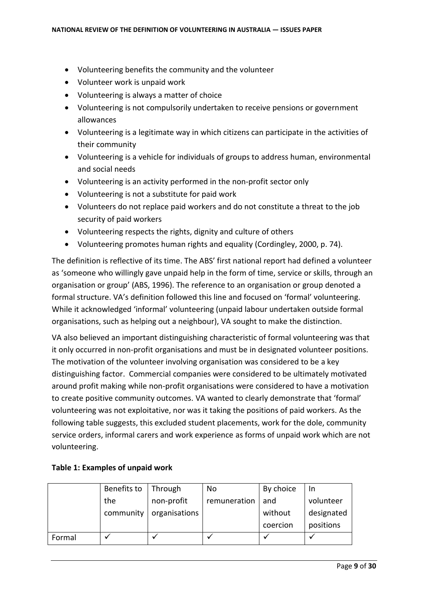- Volunteering benefits the community and the volunteer
- Volunteer work is unpaid work
- Volunteering is always a matter of choice
- Volunteering is not compulsorily undertaken to receive pensions or government allowances
- Volunteering is a legitimate way in which citizens can participate in the activities of their community
- Volunteering is a vehicle for individuals of groups to address human, environmental and social needs
- Volunteering is an activity performed in the non-profit sector only
- Volunteering is not a substitute for paid work
- Volunteers do not replace paid workers and do not constitute a threat to the job security of paid workers
- Volunteering respects the rights, dignity and culture of others
- Volunteering promotes human rights and equality (Cordingley, 2000, p. 74).

The definition is reflective of its time. The ABS' first national report had defined a volunteer as 'someone who willingly gave unpaid help in the form of time, service or skills, through an organisation or group' (ABS, 1996). The reference to an organisation or group denoted a formal structure. VA's definition followed this line and focused on 'formal' volunteering. While it acknowledged 'informal' volunteering (unpaid labour undertaken outside formal organisations, such as helping out a neighbour), VA sought to make the distinction.

VA also believed an important distinguishing characteristic of formal volunteering was that it only occurred in non-profit organisations and must be in designated volunteer positions. The motivation of the volunteer involving organisation was considered to be a key distinguishing factor. Commercial companies were considered to be ultimately motivated around profit making while non-profit organisations were considered to have a motivation to create positive community outcomes. VA wanted to clearly demonstrate that 'formal' volunteering was not exploitative, nor was it taking the positions of paid workers. As the following table suggests, this excluded student placements, work for the dole, community service orders, informal carers and work experience as forms of unpaid work which are not volunteering.

|        | Benefits to | Through       | No           | By choice | In         |
|--------|-------------|---------------|--------------|-----------|------------|
|        | the         | non-profit    | remuneration | and       | volunteer  |
|        | community   | organisations |              | without   | designated |
|        |             |               |              | coercion  | positions  |
| Formal |             |               |              |           |            |

#### **Table 1: Examples of unpaid work**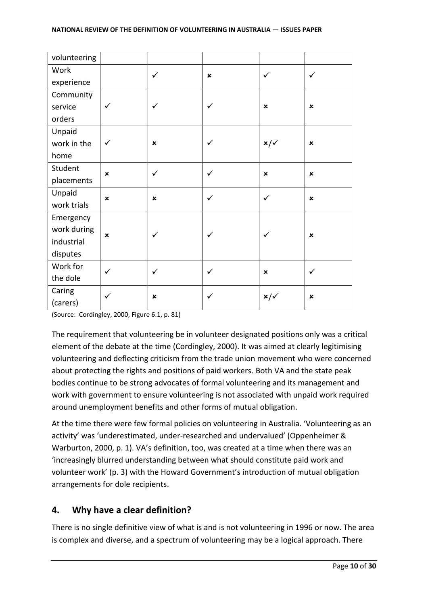| volunteering |                           |                           |                |                           |                           |
|--------------|---------------------------|---------------------------|----------------|---------------------------|---------------------------|
| Work         |                           | $\checkmark$              | $\pmb{\times}$ | $\checkmark$              | ✓                         |
| experience   |                           |                           |                |                           |                           |
| Community    |                           |                           |                |                           |                           |
| service      | ✓                         | $\checkmark$              | ✓              | $\pmb{\times}$            | $\pmb{\times}$            |
| orders       |                           |                           |                |                           |                           |
| Unpaid       |                           |                           |                |                           |                           |
| work in the  | $\checkmark$              | $\boldsymbol{\mathsf{x}}$ | ✓              | $x/\checkmark$            | $\boldsymbol{\mathsf{x}}$ |
| home         |                           |                           |                |                           |                           |
| Student      | $\boldsymbol{\mathsf{x}}$ | $\checkmark$              | ✓              | $\boldsymbol{\mathsf{x}}$ | $\pmb{\times}$            |
| placements   |                           |                           |                |                           |                           |
| Unpaid       | $\pmb{\times}$            | $\pmb{\times}$            | ✓              | ✓                         | $\pmb{\times}$            |
| work trials  |                           |                           |                |                           |                           |
| Emergency    |                           |                           |                |                           |                           |
| work during  | $\pmb{\times}$            | ✓                         |                |                           | $\pmb{\times}$            |
| industrial   |                           |                           |                |                           |                           |
| disputes     |                           |                           |                |                           |                           |
| Work for     | $\checkmark$              | $\checkmark$              | ✓              | $\boldsymbol{\mathsf{x}}$ | ✓                         |
| the dole     |                           |                           |                |                           |                           |
| Caring       | ✓                         | $\pmb{\times}$            | ✓              | $x/\sqrt$                 | $\pmb{\times}$            |
| (carers)     |                           |                           |                |                           |                           |

(Source: Cordingley, 2000, Figure 6.1, p. 81)

The requirement that volunteering be in volunteer designated positions only was a critical element of the debate at the time (Cordingley, 2000). It was aimed at clearly legitimising volunteering and deflecting criticism from the trade union movement who were concerned about protecting the rights and positions of paid workers. Both VA and the state peak bodies continue to be strong advocates of formal volunteering and its management and work with government to ensure volunteering is not associated with unpaid work required around unemployment benefits and other forms of mutual obligation.

At the time there were few formal policies on volunteering in Australia. 'Volunteering as an activity' was 'underestimated, under-researched and undervalued' (Oppenheimer & Warburton, 2000, p. 1). VA's definition, too, was created at a time when there was an 'increasingly blurred understanding between what should constitute paid work and volunteer work' (p. 3) with the Howard Government's introduction of mutual obligation arrangements for dole recipients.

# <span id="page-9-0"></span>**4. Why have a clear definition?**

There is no single definitive view of what is and is not volunteering in 1996 or now. The area is complex and diverse, and a spectrum of volunteering may be a logical approach. There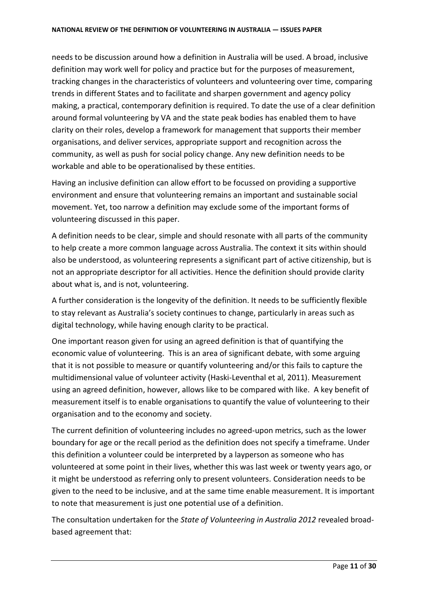needs to be discussion around how a definition in Australia will be used. A broad, inclusive definition may work well for policy and practice but for the purposes of measurement, tracking changes in the characteristics of volunteers and volunteering over time, comparing trends in different States and to facilitate and sharpen government and agency policy making, a practical, contemporary definition is required. To date the use of a clear definition around formal volunteering by VA and the state peak bodies has enabled them to have clarity on their roles, develop a framework for management that supports their member organisations, and deliver services, appropriate support and recognition across the community, as well as push for social policy change. Any new definition needs to be workable and able to be operationalised by these entities.

Having an inclusive definition can allow effort to be focussed on providing a supportive environment and ensure that volunteering remains an important and sustainable social movement. Yet, too narrow a definition may exclude some of the important forms of volunteering discussed in this paper.

A definition needs to be clear, simple and should resonate with all parts of the community to help create a more common language across Australia. The context it sits within should also be understood, as volunteering represents a significant part of active citizenship, but is not an appropriate descriptor for all activities. Hence the definition should provide clarity about what is, and is not, volunteering.

A further consideration is the longevity of the definition. It needs to be sufficiently flexible to stay relevant as Australia's society continues to change, particularly in areas such as digital technology, while having enough clarity to be practical.

One important reason given for using an agreed definition is that of quantifying the economic value of volunteering. This is an area of significant debate, with some arguing that it is not possible to measure or quantify volunteering and/or this fails to capture the multidimensional value of volunteer activity (Haski-Leventhal et al, 2011). Measurement using an agreed definition, however, allows like to be compared with like. A key benefit of measurement itself is to enable organisations to quantify the value of volunteering to their organisation and to the economy and society.

The current definition of volunteering includes no agreed-upon metrics, such as the lower boundary for age or the recall period as the definition does not specify a timeframe. Under this definition a volunteer could be interpreted by a layperson as someone who has volunteered at some point in their lives, whether this was last week or twenty years ago, or it might be understood as referring only to present volunteers. Consideration needs to be given to the need to be inclusive, and at the same time enable measurement. It is important to note that measurement is just one potential use of a definition.

The consultation undertaken for the *State of Volunteering in Australia 2012* revealed broadbased agreement that: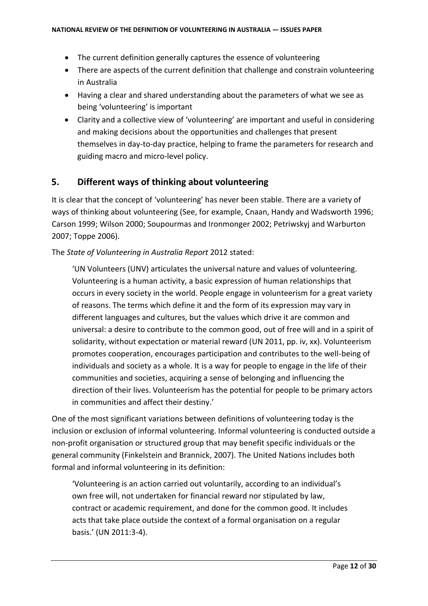- The current definition generally captures the essence of volunteering
- There are aspects of the current definition that challenge and constrain volunteering in Australia
- Having a clear and shared understanding about the parameters of what we see as being 'volunteering' is important
- Clarity and a collective view of 'volunteering' are important and useful in considering and making decisions about the opportunities and challenges that present themselves in day-to-day practice, helping to frame the parameters for research and guiding macro and micro-level policy.

# <span id="page-11-0"></span>**5. Different ways of thinking about volunteering**

It is clear that the concept of 'volunteering' has never been stable. There are a variety of ways of thinking about volunteering (See, for example, Cnaan, Handy and Wadsworth 1996; Carson 1999; Wilson 2000; Soupourmas and Ironmonger 2002; Petriwskyj and Warburton 2007; Toppe 2006).

The *State of Volunteering in Australia Report* 2012 stated:

'UN Volunteers (UNV) articulates the universal nature and values of volunteering. Volunteering is a human activity, a basic expression of human relationships that occurs in every society in the world. People engage in volunteerism for a great variety of reasons. The terms which define it and the form of its expression may vary in different languages and cultures, but the values which drive it are common and universal: a desire to contribute to the common good, out of free will and in a spirit of solidarity, without expectation or material reward (UN 2011, pp. iv, xx). Volunteerism promotes cooperation, encourages participation and contributes to the well-being of individuals and society as a whole. It is a way for people to engage in the life of their communities and societies, acquiring a sense of belonging and influencing the direction of their lives. Volunteerism has the potential for people to be primary actors in communities and affect their destiny.'

One of the most significant variations between definitions of volunteering today is the inclusion or exclusion of informal volunteering. Informal volunteering is conducted outside a non-profit organisation or structured group that may benefit specific individuals or the general community (Finkelstein and Brannick, 2007). The United Nations includes both formal and informal volunteering in its definition:

'Volunteering is an action carried out voluntarily, according to an individual's own free will, not undertaken for financial reward nor stipulated by law, contract or academic requirement, and done for the common good. It includes acts that take place outside the context of a formal organisation on a regular basis.' (UN 2011:3-4).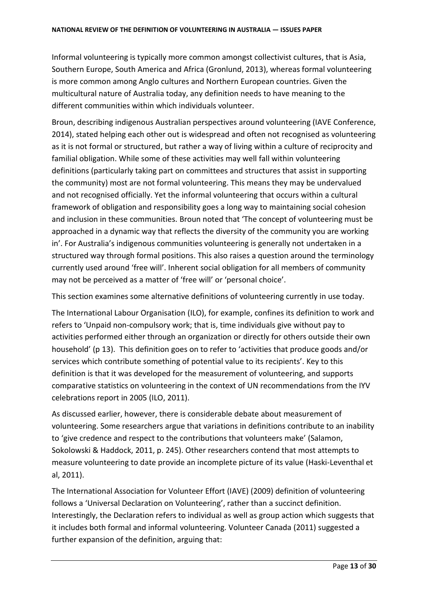Informal volunteering is typically more common amongst collectivist cultures, that is Asia, Southern Europe, South America and Africa (Gronlund, 2013), whereas formal volunteering is more common among Anglo cultures and Northern European countries. Given the multicultural nature of Australia today, any definition needs to have meaning to the different communities within which individuals volunteer.

Broun, describing indigenous Australian perspectives around volunteering (IAVE Conference, 2014), stated helping each other out is widespread and often not recognised as volunteering as it is not formal or structured, but rather a way of living within a culture of reciprocity and familial obligation. While some of these activities may well fall within volunteering definitions (particularly taking part on committees and structures that assist in supporting the community) most are not formal volunteering. This means they may be undervalued and not recognised officially. Yet the informal volunteering that occurs within a cultural framework of obligation and responsibility goes a long way to maintaining social cohesion and inclusion in these communities. Broun noted that 'The concept of volunteering must be approached in a dynamic way that reflects the diversity of the community you are working in'. For Australia's indigenous communities volunteering is generally not undertaken in a structured way through formal positions. This also raises a question around the terminology currently used around 'free will'. Inherent social obligation for all members of community may not be perceived as a matter of 'free will' or 'personal choice'.

This section examines some alternative definitions of volunteering currently in use today.

The International Labour Organisation (ILO), for example, confines its definition to work and refers to 'Unpaid non-compulsory work; that is, time individuals give without pay to activities performed either through an organization or directly for others outside their own household' (p 13). This definition goes on to refer to 'activities that produce goods and/or services which contribute something of potential value to its recipients'. Key to this definition is that it was developed for the measurement of volunteering, and supports comparative statistics on volunteering in the context of UN recommendations from the IYV celebrations report in 2005 (ILO, 2011).

As discussed earlier, however, there is considerable debate about measurement of volunteering. Some researchers argue that variations in definitions contribute to an inability to 'give credence and respect to the contributions that volunteers make' (Salamon, Sokolowski & Haddock, 2011, p. 245). Other researchers contend that most attempts to measure volunteering to date provide an incomplete picture of its value (Haski-Leventhal et al, 2011).

The International Association for Volunteer Effort (IAVE) (2009) definition of volunteering follows a 'Universal Declaration on Volunteering', rather than a succinct definition. Interestingly, the Declaration refers to individual as well as group action which suggests that it includes both formal and informal volunteering. Volunteer Canada (2011) suggested a further expansion of the definition, arguing that: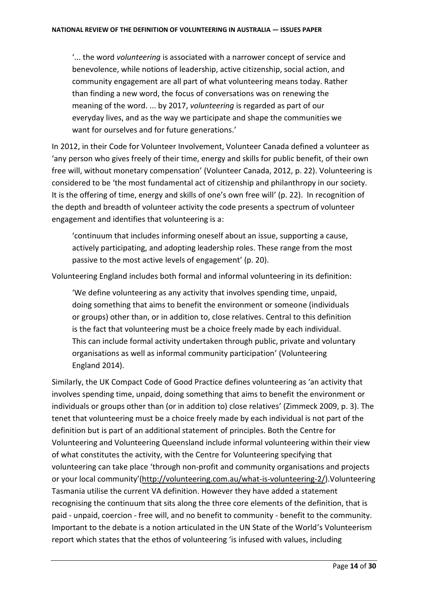'... the word *volunteering* is associated with a narrower concept of service and benevolence, while notions of leadership, active citizenship, social action, and community engagement are all part of what volunteering means today. Rather than finding a new word, the focus of conversations was on renewing the meaning of the word. ... by 2017, *volunteering* is regarded as part of our everyday lives, and as the way we participate and shape the communities we want for ourselves and for future generations.'

In 2012, in their Code for Volunteer Involvement, Volunteer Canada defined a volunteer as 'any person who gives freely of their time, energy and skills for public benefit, of their own free will, without monetary compensation' (Volunteer Canada, 2012, p. 22). Volunteering is considered to be 'the most fundamental act of citizenship and philanthropy in our society. It is the offering of time, energy and skills of one's own free will' (p. 22). In recognition of the depth and breadth of volunteer activity the code presents a spectrum of volunteer engagement and identifies that volunteering is a:

'continuum that includes informing oneself about an issue, supporting a cause, actively participating, and adopting leadership roles. These range from the most passive to the most active levels of engagement' (p. 20).

Volunteering England includes both formal and informal volunteering in its definition:

'We define volunteering as any activity that involves spending time, unpaid, doing something that aims to benefit the environment or someone (individuals or groups) other than, or in addition to, close relatives. Central to this definition is the fact that volunteering must be a choice freely made by each individual. This can include formal activity undertaken through public, private and voluntary organisations as well as informal community participation' (Volunteering England 2014).

Similarly, the UK Compact Code of Good Practice defines volunteering as 'an activity that involves spending time, unpaid, doing something that aims to benefit the environment or individuals or groups other than (or in addition to) close relatives' (Zimmeck 2009, p. 3). The tenet that volunteering must be a choice freely made by each individual is not part of the definition but is part of an additional statement of principles. Both the Centre for Volunteering and Volunteering Queensland include informal volunteering within their view of what constitutes the activity, with the Centre for Volunteering specifying that volunteering can take place 'through non-profit and community organisations and projects or your local community'[\(http://volunteering.com.au/what-is-volunteering-2/\)](http://volunteering.com.au/what-is-volunteering-2/).Volunteering Tasmania utilise the current VA definition. However they have added a statement recognising the continuum that sits along the three core elements of the definition, that is paid - unpaid, coercion - free will, and no benefit to community - benefit to the community. Important to the debate is a notion articulated in the UN State of the World's Volunteerism report which states that the ethos of volunteering 'is infused with values, including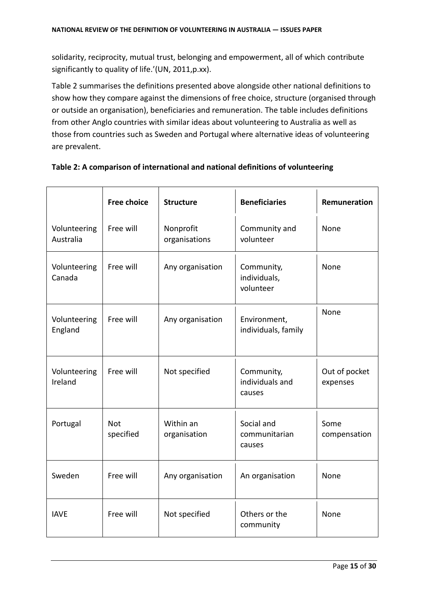solidarity, reciprocity, mutual trust, belonging and empowerment, all of which contribute significantly to quality of life.'(UN, 2011,p.xx).

Table 2 summarises the definitions presented above alongside other national definitions to show how they compare against the dimensions of free choice, structure (organised through or outside an organisation), beneficiaries and remuneration. The table includes definitions from other Anglo countries with similar ideas about volunteering to Australia as well as those from countries such as Sweden and Portugal where alternative ideas of volunteering are prevalent.

|                           | <b>Free choice</b>      | <b>Structure</b>           | <b>Beneficiaries</b>                    | Remuneration              |
|---------------------------|-------------------------|----------------------------|-----------------------------------------|---------------------------|
| Volunteering<br>Australia | Free will               | Nonprofit<br>organisations | Community and<br>volunteer              | None                      |
| Volunteering<br>Canada    | Free will               | Any organisation           | Community,<br>individuals,<br>volunteer | None                      |
| Volunteering<br>England   | Free will               | Any organisation           | Environment,<br>individuals, family     | None                      |
| Volunteering<br>Ireland   | Free will               | Not specified              | Community,<br>individuals and<br>causes | Out of pocket<br>expenses |
| Portugal                  | <b>Not</b><br>specified | Within an<br>organisation  | Social and<br>communitarian<br>causes   | Some<br>compensation      |
| Sweden                    | Free will               | Any organisation           | An organisation                         | None                      |
| <b>IAVE</b>               | Free will               | Not specified              | Others or the<br>community              | None                      |

#### **Table 2: A comparison of international and national definitions of volunteering**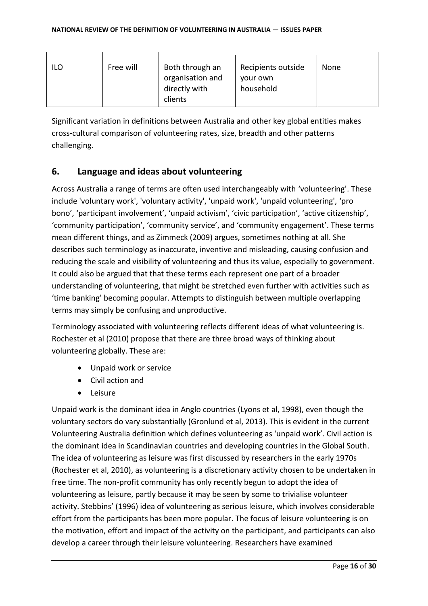| ILO | Free will | Both through an<br>organisation and | Recipients outside<br>your own | None |
|-----|-----------|-------------------------------------|--------------------------------|------|
|     |           | directly with<br>clients            | household                      |      |

Significant variation in definitions between Australia and other key global entities makes cross-cultural comparison of volunteering rates, size, breadth and other patterns challenging.

# <span id="page-15-0"></span>**6. Language and ideas about volunteering**

Across Australia a range of terms are often used interchangeably with 'volunteering'. These include 'voluntary work', 'voluntary activity', 'unpaid work', 'unpaid volunteering', 'pro bono', 'participant involvement', 'unpaid activism', 'civic participation', 'active citizenship', 'community participation', 'community service', and 'community engagement'. These terms mean different things, and as Zimmeck (2009) argues, sometimes nothing at all. She describes such terminology as inaccurate, inventive and misleading, causing confusion and reducing the scale and visibility of volunteering and thus its value, especially to government. It could also be argued that that these terms each represent one part of a broader understanding of volunteering, that might be stretched even further with activities such as 'time banking' becoming popular. Attempts to distinguish between multiple overlapping terms may simply be confusing and unproductive.

Terminology associated with volunteering reflects different ideas of what volunteering is. Rochester et al (2010) propose that there are three broad ways of thinking about volunteering globally. These are:

- Unpaid work or service
- Civil action and
- Leisure

Unpaid work is the dominant idea in Anglo countries (Lyons et al, 1998), even though the voluntary sectors do vary substantially (Gronlund et al, 2013). This is evident in the current Volunteering Australia definition which defines volunteering as 'unpaid work'. Civil action is the dominant idea in Scandinavian countries and developing countries in the Global South. The idea of volunteering as leisure was first discussed by researchers in the early 1970s (Rochester et al, 2010), as volunteering is a discretionary activity chosen to be undertaken in free time. The non-profit community has only recently begun to adopt the idea of volunteering as leisure, partly because it may be seen by some to trivialise volunteer activity. Stebbins' (1996) idea of volunteering as serious leisure, which involves considerable effort from the participants has been more popular. The focus of leisure volunteering is on the motivation, effort and impact of the activity on the participant, and participants can also develop a career through their leisure volunteering. Researchers have examined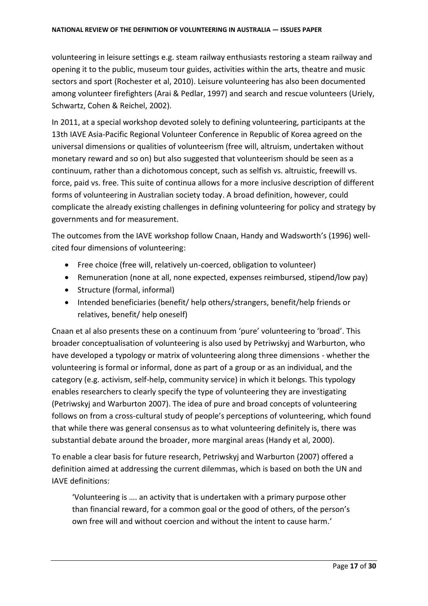volunteering in leisure settings e.g. steam railway enthusiasts restoring a steam railway and opening it to the public, museum tour guides, activities within the arts, theatre and music sectors and sport (Rochester et al, 2010). Leisure volunteering has also been documented among volunteer firefighters (Arai & Pedlar, 1997) and search and rescue volunteers (Uriely, Schwartz, Cohen & Reichel, 2002).

In 2011, at a special workshop devoted solely to defining volunteering, participants at the 13th IAVE Asia-Pacific Regional Volunteer Conference in Republic of Korea agreed on the universal dimensions or qualities of volunteerism (free will, altruism, undertaken without monetary reward and so on) but also suggested that volunteerism should be seen as a continuum, rather than a dichotomous concept, such as selfish vs. altruistic, freewill vs. force, paid vs. free. This suite of continua allows for a more inclusive description of different forms of volunteering in Australian society today. A broad definition, however, could complicate the already existing challenges in defining volunteering for policy and strategy by governments and for measurement.

The outcomes from the IAVE workshop follow Cnaan, Handy and Wadsworth's (1996) wellcited four dimensions of volunteering:

- Free choice (free will, relatively un-coerced, obligation to volunteer)
- Remuneration (none at all, none expected, expenses reimbursed, stipend/low pay)
- Structure (formal, informal)
- Intended beneficiaries (benefit/ help others/strangers, benefit/help friends or relatives, benefit/ help oneself)

Cnaan et al also presents these on a continuum from 'pure' volunteering to 'broad'. This broader conceptualisation of volunteering is also used by Petriwskyj and Warburton, who have developed a typology or matrix of volunteering along three dimensions - whether the volunteering is formal or informal, done as part of a group or as an individual, and the category (e.g. activism, self-help, community service) in which it belongs. This typology enables researchers to clearly specify the type of volunteering they are investigating (Petriwskyj and Warburton 2007). The idea of pure and broad concepts of volunteering follows on from a cross-cultural study of people's perceptions of volunteering, which found that while there was general consensus as to what volunteering definitely is, there was substantial debate around the broader, more marginal areas (Handy et al, 2000).

To enable a clear basis for future research, Petriwskyj and Warburton (2007) offered a definition aimed at addressing the current dilemmas, which is based on both the UN and IAVE definitions:

'Volunteering is …. an activity that is undertaken with a primary purpose other than financial reward, for a common goal or the good of others, of the person's own free will and without coercion and without the intent to cause harm.'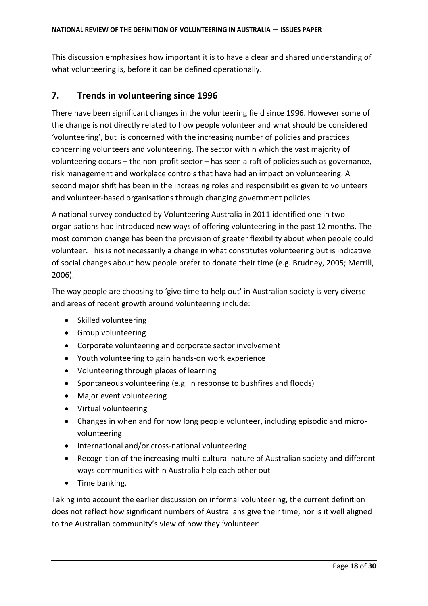This discussion emphasises how important it is to have a clear and shared understanding of what volunteering is, before it can be defined operationally.

## <span id="page-17-0"></span>**7. Trends in volunteering since 1996**

There have been significant changes in the volunteering field since 1996. However some of the change is not directly related to how people volunteer and what should be considered 'volunteering', but is concerned with the increasing number of policies and practices concerning volunteers and volunteering. The sector within which the vast majority of volunteering occurs – the non-profit sector – has seen a raft of policies such as governance, risk management and workplace controls that have had an impact on volunteering. A second major shift has been in the increasing roles and responsibilities given to volunteers and volunteer-based organisations through changing government policies.

A national survey conducted by Volunteering Australia in 2011 identified one in two organisations had introduced new ways of offering volunteering in the past 12 months. The most common change has been the provision of greater flexibility about when people could volunteer. This is not necessarily a change in what constitutes volunteering but is indicative of social changes about how people prefer to donate their time (e.g. Brudney, 2005; Merrill, 2006).

The way people are choosing to 'give time to help out' in Australian society is very diverse and areas of recent growth around volunteering include:

- Skilled volunteering
- Group volunteering
- Corporate volunteering and corporate sector involvement
- Youth volunteering to gain hands-on work experience
- Volunteering through places of learning
- Spontaneous volunteering (e.g. in response to bushfires and floods)
- Major event volunteering
- Virtual volunteering
- Changes in when and for how long people volunteer, including episodic and microvolunteering
- International and/or cross-national volunteering
- Recognition of the increasing multi-cultural nature of Australian society and different ways communities within Australia help each other out
- Time banking.

Taking into account the earlier discussion on informal volunteering, the current definition does not reflect how significant numbers of Australians give their time, nor is it well aligned to the Australian community's view of how they 'volunteer'.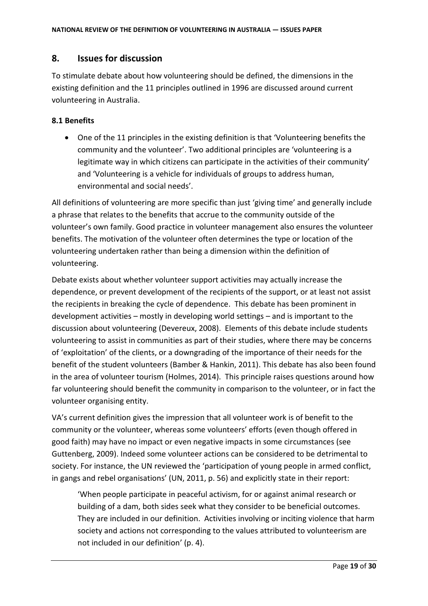# <span id="page-18-0"></span>**8. Issues for discussion**

To stimulate debate about how volunteering should be defined, the dimensions in the existing definition and the 11 principles outlined in 1996 are discussed around current volunteering in Australia.

#### <span id="page-18-1"></span>**8.1 Benefits**

 One of the 11 principles in the existing definition is that 'Volunteering benefits the community and the volunteer'. Two additional principles are 'volunteering is a legitimate way in which citizens can participate in the activities of their community' and 'Volunteering is a vehicle for individuals of groups to address human, environmental and social needs'.

All definitions of volunteering are more specific than just 'giving time' and generally include a phrase that relates to the benefits that accrue to the community outside of the volunteer's own family. Good practice in volunteer management also ensures the volunteer benefits. The motivation of the volunteer often determines the type or location of the volunteering undertaken rather than being a dimension within the definition of volunteering.

Debate exists about whether volunteer support activities may actually increase the dependence, or prevent development of the recipients of the support, or at least not assist the recipients in breaking the cycle of dependence. This debate has been prominent in development activities – mostly in developing world settings – and is important to the discussion about volunteering (Devereux, 2008). Elements of this debate include students volunteering to assist in communities as part of their studies, where there may be concerns of 'exploitation' of the clients, or a downgrading of the importance of their needs for the benefit of the student volunteers (Bamber & Hankin, 2011). This debate has also been found in the area of volunteer tourism (Holmes, 2014). This principle raises questions around how far volunteering should benefit the community in comparison to the volunteer, or in fact the volunteer organising entity.

VA's current definition gives the impression that all volunteer work is of benefit to the community or the volunteer, whereas some volunteers' efforts (even though offered in good faith) may have no impact or even negative impacts in some circumstances (see Guttenberg, 2009). Indeed some volunteer actions can be considered to be detrimental to society. For instance, the UN reviewed the 'participation of young people in armed conflict, in gangs and rebel organisations' (UN, 2011, p. 56) and explicitly state in their report:

'When people participate in peaceful activism, for or against animal research or building of a dam, both sides seek what they consider to be beneficial outcomes. They are included in our definition. Activities involving or inciting violence that harm society and actions not corresponding to the values attributed to volunteerism are not included in our definition' (p. 4).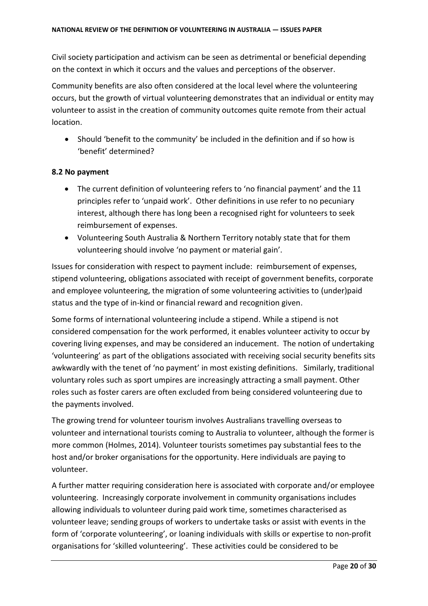Civil society participation and activism can be seen as detrimental or beneficial depending on the context in which it occurs and the values and perceptions of the observer.

Community benefits are also often considered at the local level where the volunteering occurs, but the growth of virtual volunteering demonstrates that an individual or entity may volunteer to assist in the creation of community outcomes quite remote from their actual location.

 Should 'benefit to the community' be included in the definition and if so how is 'benefit' determined?

#### <span id="page-19-0"></span>**8.2 No payment**

- The current definition of volunteering refers to 'no financial payment' and the 11 principles refer to 'unpaid work'. Other definitions in use refer to no pecuniary interest, although there has long been a recognised right for volunteers to seek reimbursement of expenses.
- Volunteering South Australia & Northern Territory notably state that for them volunteering should involve 'no payment or material gain'.

Issues for consideration with respect to payment include: reimbursement of expenses, stipend volunteering, obligations associated with receipt of government benefits, corporate and employee volunteering, the migration of some volunteering activities to (under)paid status and the type of in-kind or financial reward and recognition given.

Some forms of international volunteering include a stipend. While a stipend is not considered compensation for the work performed, it enables volunteer activity to occur by covering living expenses, and may be considered an inducement. The notion of undertaking 'volunteering' as part of the obligations associated with receiving social security benefits sits awkwardly with the tenet of 'no payment' in most existing definitions. Similarly, traditional voluntary roles such as sport umpires are increasingly attracting a small payment. Other roles such as foster carers are often excluded from being considered volunteering due to the payments involved.

The growing trend for volunteer tourism involves Australians travelling overseas to volunteer and international tourists coming to Australia to volunteer, although the former is more common (Holmes, 2014). Volunteer tourists sometimes pay substantial fees to the host and/or broker organisations for the opportunity. Here individuals are paying to volunteer.

A further matter requiring consideration here is associated with corporate and/or employee volunteering. Increasingly corporate involvement in community organisations includes allowing individuals to volunteer during paid work time, sometimes characterised as volunteer leave; sending groups of workers to undertake tasks or assist with events in the form of 'corporate volunteering', or loaning individuals with skills or expertise to non-profit organisations for 'skilled volunteering'. These activities could be considered to be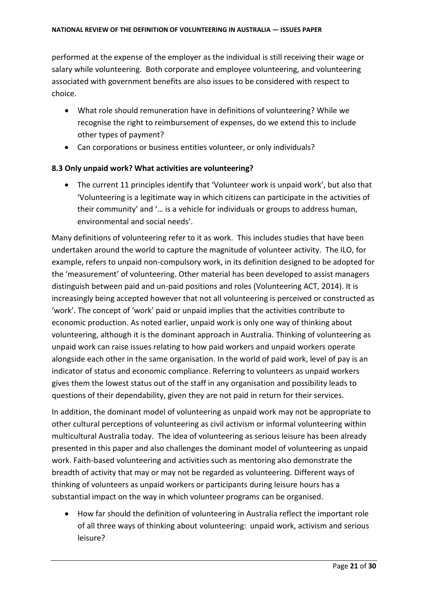performed at the expense of the employer as the individual is still receiving their wage or salary while volunteering. Both corporate and employee volunteering, and volunteering associated with government benefits are also issues to be considered with respect to choice.

- What role should remuneration have in definitions of volunteering? While we recognise the right to reimbursement of expenses, do we extend this to include other types of payment?
- Can corporations or business entities volunteer, or only individuals?

#### <span id="page-20-0"></span>**8.3 Only unpaid work? What activities are volunteering?**

 The current 11 principles identify that 'Volunteer work is unpaid work', but also that 'Volunteering is a legitimate way in which citizens can participate in the activities of their community' and '… is a vehicle for individuals or groups to address human, environmental and social needs'.

Many definitions of volunteering refer to it as work. This includes studies that have been undertaken around the world to capture the magnitude of volunteer activity. The ILO, for example, refers to unpaid non-compulsory work, in its definition designed to be adopted for the 'measurement' of volunteering. Other material has been developed to assist managers distinguish between paid and un-paid positions and roles (Volunteering ACT, 2014). It is increasingly being accepted however that not all volunteering is perceived or constructed as 'work'. The concept of 'work' paid or unpaid implies that the activities contribute to economic production. As noted earlier, unpaid work is only one way of thinking about volunteering, although it is the dominant approach in Australia. Thinking of volunteering as unpaid work can raise issues relating to how paid workers and unpaid workers operate alongside each other in the same organisation. In the world of paid work, level of pay is an indicator of status and economic compliance. Referring to volunteers as unpaid workers gives them the lowest status out of the staff in any organisation and possibility leads to questions of their dependability, given they are not paid in return for their services.

In addition, the dominant model of volunteering as unpaid work may not be appropriate to other cultural perceptions of volunteering as civil activism or informal volunteering within multicultural Australia today. The idea of volunteering as serious leisure has been already presented in this paper and also challenges the dominant model of volunteering as unpaid work. Faith-based volunteering and activities such as mentoring also demonstrate the breadth of activity that may or may not be regarded as volunteering. Different ways of thinking of volunteers as unpaid workers or participants during leisure hours has a substantial impact on the way in which volunteer programs can be organised.

 How far should the definition of volunteering in Australia reflect the important role of all three ways of thinking about volunteering: unpaid work, activism and serious leisure?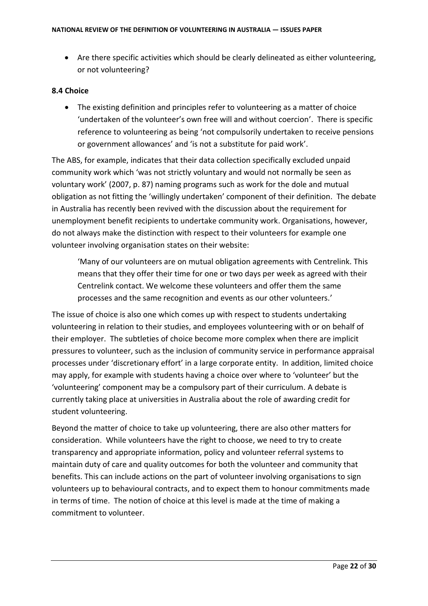Are there specific activities which should be clearly delineated as either volunteering, or not volunteering?

#### <span id="page-21-0"></span>**8.4 Choice**

 The existing definition and principles refer to volunteering as a matter of choice 'undertaken of the volunteer's own free will and without coercion'. There is specific reference to volunteering as being 'not compulsorily undertaken to receive pensions or government allowances' and 'is not a substitute for paid work'.

The ABS, for example, indicates that their data collection specifically excluded unpaid community work which 'was not strictly voluntary and would not normally be seen as voluntary work' (2007, p. 87) naming programs such as work for the dole and mutual obligation as not fitting the 'willingly undertaken' component of their definition. The debate in Australia has recently been revived with the discussion about the requirement for unemployment benefit recipients to undertake community work. Organisations, however, do not always make the distinction with respect to their volunteers for example one volunteer involving organisation states on their website:

'Many of our volunteers are on mutual obligation agreements with Centrelink. This means that they offer their time for one or two days per week as agreed with their Centrelink contact. We welcome these volunteers and offer them the same processes and the same recognition and events as our other volunteers.'

The issue of choice is also one which comes up with respect to students undertaking volunteering in relation to their studies, and employees volunteering with or on behalf of their employer. The subtleties of choice become more complex when there are implicit pressures to volunteer, such as the inclusion of community service in performance appraisal processes under 'discretionary effort' in a large corporate entity. In addition, limited choice may apply, for example with students having a choice over where to 'volunteer' but the 'volunteering' component may be a compulsory part of their curriculum. A debate is currently taking place at universities in Australia about the role of awarding credit for student volunteering.

Beyond the matter of choice to take up volunteering, there are also other matters for consideration. While volunteers have the right to choose, we need to try to create transparency and appropriate information, policy and volunteer referral systems to maintain duty of care and quality outcomes for both the volunteer and community that benefits. This can include actions on the part of volunteer involving organisations to sign volunteers up to behavioural contracts, and to expect them to honour commitments made in terms of time. The notion of choice at this level is made at the time of making a commitment to volunteer.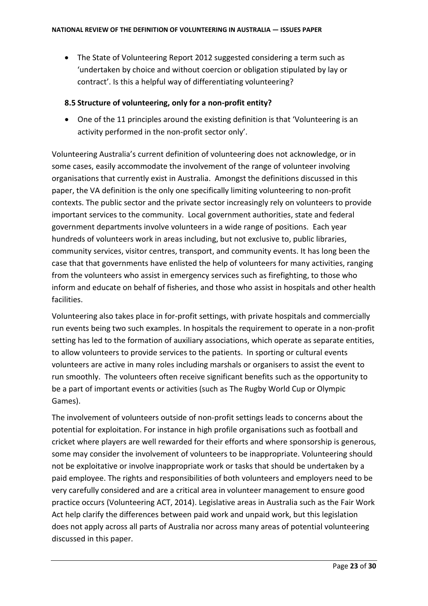The State of Volunteering Report 2012 suggested considering a term such as 'undertaken by choice and without coercion or obligation stipulated by lay or contract'. Is this a helpful way of differentiating volunteering?

#### <span id="page-22-0"></span>**8.5 Structure of volunteering, only for a non-profit entity?**

 One of the 11 principles around the existing definition is that 'Volunteering is an activity performed in the non-profit sector only'.

Volunteering Australia's current definition of volunteering does not acknowledge, or in some cases, easily accommodate the involvement of the range of volunteer involving organisations that currently exist in Australia. Amongst the definitions discussed in this paper, the VA definition is the only one specifically limiting volunteering to non-profit contexts. The public sector and the private sector increasingly rely on volunteers to provide important services to the community. Local government authorities, state and federal government departments involve volunteers in a wide range of positions. Each year hundreds of volunteers work in areas including, but not exclusive to, public libraries, community services, visitor centres, transport, and community events. It has long been the case that that governments have enlisted the help of volunteers for many activities, ranging from the volunteers who assist in emergency services such as firefighting, to those who inform and educate on behalf of fisheries, and those who assist in hospitals and other health facilities.

Volunteering also takes place in for-profit settings, with private hospitals and commercially run events being two such examples. In hospitals the requirement to operate in a non-profit setting has led to the formation of auxiliary associations, which operate as separate entities, to allow volunteers to provide services to the patients. In sporting or cultural events volunteers are active in many roles including marshals or organisers to assist the event to run smoothly. The volunteers often receive significant benefits such as the opportunity to be a part of important events or activities (such as The Rugby World Cup or Olympic Games).

The involvement of volunteers outside of non-profit settings leads to concerns about the potential for exploitation. For instance in high profile organisations such as football and cricket where players are well rewarded for their efforts and where sponsorship is generous, some may consider the involvement of volunteers to be inappropriate. Volunteering should not be exploitative or involve inappropriate work or tasks that should be undertaken by a paid employee. The rights and responsibilities of both volunteers and employers need to be very carefully considered and are a critical area in volunteer management to ensure good practice occurs (Volunteering ACT, 2014). Legislative areas in Australia such as the Fair Work Act help clarify the differences between paid work and unpaid work, but this legislation does not apply across all parts of Australia nor across many areas of potential volunteering discussed in this paper.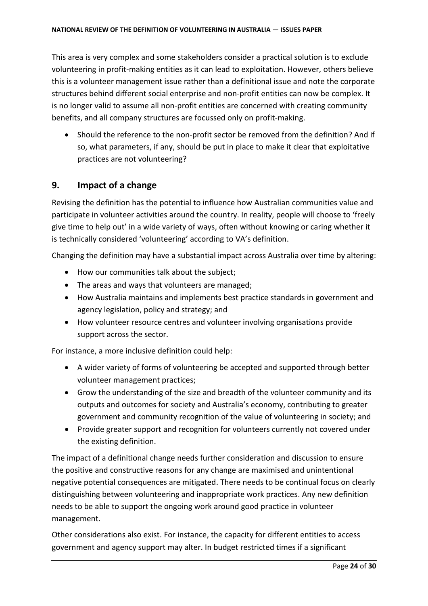This area is very complex and some stakeholders consider a practical solution is to exclude volunteering in profit-making entities as it can lead to exploitation. However, others believe this is a volunteer management issue rather than a definitional issue and note the corporate structures behind different social enterprise and non-profit entities can now be complex. It is no longer valid to assume all non-profit entities are concerned with creating community benefits, and all company structures are focussed only on profit-making.

 Should the reference to the non-profit sector be removed from the definition? And if so, what parameters, if any, should be put in place to make it clear that exploitative practices are not volunteering?

# <span id="page-23-0"></span>**9. Impact of a change**

Revising the definition has the potential to influence how Australian communities value and participate in volunteer activities around the country. In reality, people will choose to 'freely give time to help out' in a wide variety of ways, often without knowing or caring whether it is technically considered 'volunteering' according to VA's definition.

Changing the definition may have a substantial impact across Australia over time by altering:

- How our communities talk about the subject;
- The areas and ways that volunteers are managed;
- How Australia maintains and implements best practice standards in government and agency legislation, policy and strategy; and
- How volunteer resource centres and volunteer involving organisations provide support across the sector.

For instance, a more inclusive definition could help:

- A wider variety of forms of volunteering be accepted and supported through better volunteer management practices;
- Grow the understanding of the size and breadth of the volunteer community and its outputs and outcomes for society and Australia's economy, contributing to greater government and community recognition of the value of volunteering in society; and
- Provide greater support and recognition for volunteers currently not covered under the existing definition.

The impact of a definitional change needs further consideration and discussion to ensure the positive and constructive reasons for any change are maximised and unintentional negative potential consequences are mitigated. There needs to be continual focus on clearly distinguishing between volunteering and inappropriate work practices. Any new definition needs to be able to support the ongoing work around good practice in volunteer management.

Other considerations also exist. For instance, the capacity for different entities to access government and agency support may alter. In budget restricted times if a significant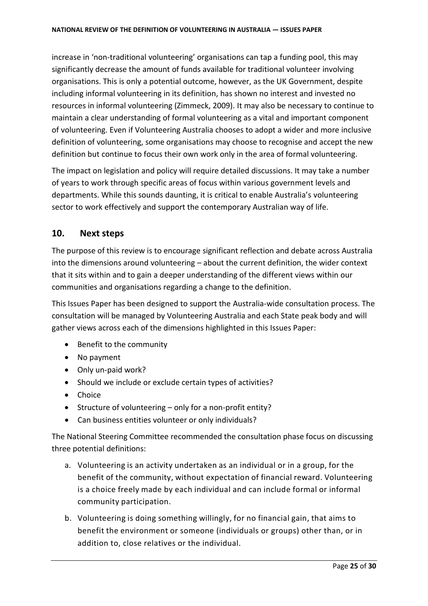increase in 'non-traditional volunteering' organisations can tap a funding pool, this may significantly decrease the amount of funds available for traditional volunteer involving organisations. This is only a potential outcome, however, as the UK Government, despite including informal volunteering in its definition, has shown no interest and invested no resources in informal volunteering (Zimmeck, 2009). It may also be necessary to continue to maintain a clear understanding of formal volunteering as a vital and important component of volunteering. Even if Volunteering Australia chooses to adopt a wider and more inclusive definition of volunteering, some organisations may choose to recognise and accept the new definition but continue to focus their own work only in the area of formal volunteering.

The impact on legislation and policy will require detailed discussions. It may take a number of years to work through specific areas of focus within various government levels and departments. While this sounds daunting, it is critical to enable Australia's volunteering sector to work effectively and support the contemporary Australian way of life.

# <span id="page-24-0"></span>**10. Next steps**

The purpose of this review is to encourage significant reflection and debate across Australia into the dimensions around volunteering – about the current definition, the wider context that it sits within and to gain a deeper understanding of the different views within our communities and organisations regarding a change to the definition.

This Issues Paper has been designed to support the Australia-wide consultation process. The consultation will be managed by Volunteering Australia and each State peak body and will gather views across each of the dimensions highlighted in this Issues Paper:

- Benefit to the community
- No payment
- Only un-paid work?
- Should we include or exclude certain types of activities?
- Choice
- Structure of volunteering only for a non-profit entity?
- Can business entities volunteer or only individuals?

The National Steering Committee recommended the consultation phase focus on discussing three potential definitions:

- a. Volunteering is an activity undertaken as an individual or in a group, for the benefit of the community, without expectation of financial reward. Volunteering is a choice freely made by each individual and can include formal or informal community participation.
- b. Volunteering is doing something willingly, for no financial gain, that aims to benefit the environment or someone (individuals or groups) other than, or in addition to, close relatives or the individual.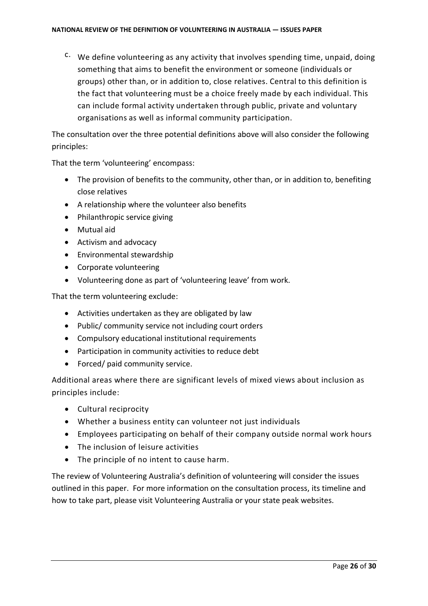$c$ . We define volunteering as any activity that involves spending time, unpaid, doing something that aims to benefit the environment or someone (individuals or groups) other than, or in addition to, close relatives. Central to this definition is the fact that volunteering must be a choice freely made by each individual. This can include formal activity undertaken through public, private and voluntary organisations as well as informal community participation.

The consultation over the three potential definitions above will also consider the following principles:

That the term 'volunteering' encompass:

- The provision of benefits to the community, other than, or in addition to, benefiting close relatives
- A relationship where the volunteer also benefits
- Philanthropic service giving
- Mutual aid
- Activism and advocacy
- Environmental stewardship
- Corporate volunteering
- Volunteering done as part of 'volunteering leave' from work.

That the term volunteering exclude:

- Activities undertaken as they are obligated by law
- Public/ community service not including court orders
- Compulsory educational institutional requirements
- Participation in community activities to reduce debt
- Forced/ paid community service.

Additional areas where there are significant levels of mixed views about inclusion as principles include:

- Cultural reciprocity
- Whether a business entity can volunteer not just individuals
- Employees participating on behalf of their company outside normal work hours
- The inclusion of leisure activities
- The principle of no intent to cause harm.

The review of Volunteering Australia's definition of volunteering will consider the issues outlined in this paper. For more information on the consultation process, its timeline and how to take part, please visit Volunteering Australia or your state peak websites.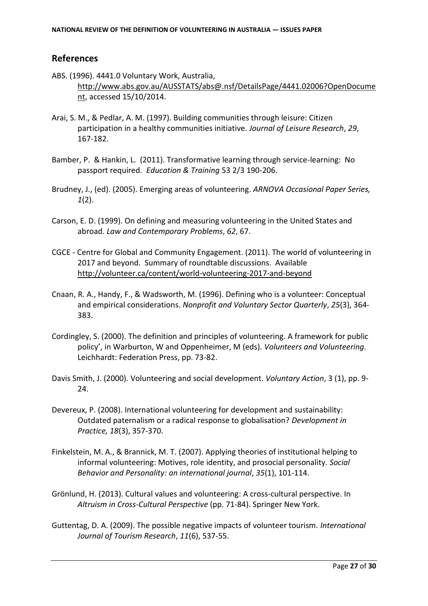### <span id="page-26-0"></span>**References**

- ABS. (1996). 4441.0 Voluntary Work, Australia, [http://www.abs.gov.au/AUSSTATS/abs@.nsf/DetailsPage/4441.02006?OpenDocume](http://www.abs.gov.au/AUSSTATS/abs@.nsf/DetailsPage/4441.02006?OpenDocument) [nt,](http://www.abs.gov.au/AUSSTATS/abs@.nsf/DetailsPage/4441.02006?OpenDocument) accessed 15/10/2014.
- Arai, S. M., & Pedlar, A. M. (1997). Building communities through leisure: Citizen participation in a healthy communities initiative. *Journal of Leisure Research*, *29*, 167-182.
- Bamber, P. & Hankin, L. (2011). Transformative learning through service-learning: No passport required. *Education & Training* 53 2/3 190-206.
- Brudney, J., (ed). (2005). Emerging areas of volunteering. *ARNOVA Occasional Paper Series, 1*(2).
- Carson, E. D. (1999). On defining and measuring volunteering in the United States and abroad. *Law and Contemporary Problems*, *62*, 67.
- CGCE Centre for Global and Community Engagement. (2011). The world of volunteering in 2017 and beyond. Summary of roundtable discussions. Available <http://volunteer.ca/content/world-volunteering-2017-and-beyond>
- Cnaan, R. A., Handy, F., & Wadsworth, M. (1996). Defining who is a volunteer: Conceptual and empirical considerations. *Nonprofit and Voluntary Sector Quarterly*, *25*(3), 364- 383.
- Cordingley, S. (2000). The definition and principles of volunteering. A framework for public policy', in Warburton, W and Oppenheimer, M (eds). *Volunteers and Volunteering*. Leichhardt: Federation Press, pp. 73-82.
- Davis Smith, J. (2000). Volunteering and social development. *Voluntary Action*, 3 (1), pp. 9- 24.
- Devereux, P. (2008). International volunteering for development and sustainability: Outdated paternalism or a radical response to globalisation? *Development in Practice, 18*(3), 357-370.
- Finkelstein, M. A., & Brannick, M. T. (2007). Applying theories of institutional helping to informal volunteering: Motives, role identity, and prosocial personality. *Social Behavior and Personality: an international journal*, *35*(1), 101-114.
- Grönlund, H. (2013). Cultural values and volunteering: A cross-cultural perspective. In *Altruism in Cross-Cultural Perspective* (pp. 71-84). Springer New York.
- Guttentag, D. A. (2009). The possible negative impacts of volunteer tourism. *International Journal of Tourism Research*, *11*(6), 537-55.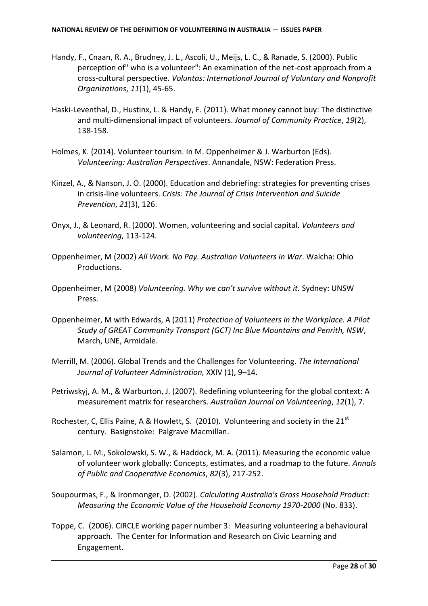- Handy, F., Cnaan, R. A., Brudney, J. L., Ascoli, U., Meijs, L. C., & Ranade, S. (2000). Public perception of" who is a volunteer": An examination of the net-cost approach from a cross-cultural perspective. *Voluntas: International Journal of Voluntary and Nonprofit Organizations*, *11*(1), 45-65.
- Haski-Leventhal, D., Hustinx, L. & Handy, F. (2011). What money cannot buy: The distinctive and multi-dimensional impact of volunteers. *Journal of Community Practice*, *19*(2), 138-158.
- Holmes, K. (2014). Volunteer tourism. In M. Oppenheimer & J. Warburton (Eds). *Volunteering: Australian Perspectives*. Annandale, NSW: Federation Press.
- Kinzel, A., & Nanson, J. O. (2000). Education and debriefing: strategies for preventing crises in crisis-line volunteers. *Crisis: The Journal of Crisis Intervention and Suicide Prevention*, *21*(3), 126.
- Onyx, J., & Leonard, R. (2000). Women, volunteering and social capital. *Volunteers and volunteering*, 113-124.
- Oppenheimer, M (2002) *All Work. No Pay. Australian Volunteers in War*. Walcha: Ohio Productions.
- Oppenheimer, M (2008) *Volunteering. Why we can't survive without it.* Sydney: UNSW Press.
- Oppenheimer, M with Edwards, A (2011) *Protection of Volunteers in the Workplace. A Pilot Study of GREAT Community Transport (GCT) Inc Blue Mountains and Penrith, NSW*, March, UNE, Armidale.
- Merrill, M. (2006). Global Trends and the Challenges for Volunteering. *The International Journal of Volunteer Administration,* XXIV (1), 9–14.
- Petriwskyj, A. M., & Warburton, J. (2007). Redefining volunteering for the global context: A measurement matrix for researchers. *Australian Journal on Volunteering*, *12*(1), 7.
- Rochester, C, Ellis Paine, A & Howlett, S. (2010). Volunteering and society in the  $21<sup>st</sup>$ century. Basignstoke: Palgrave Macmillan.
- Salamon, L. M., Sokolowski, S. W., & Haddock, M. A. (2011). Measuring the economic value of volunteer work globally: Concepts, estimates, and a roadmap to the future. *Annals of Public and Cooperative Economics*, *82*(3), 217-252.
- Soupourmas, F., & Ironmonger, D. (2002). *Calculating Australia's Gross Household Product: Measuring the Economic Value of the Household Economy 1970-2000* (No. 833).
- Toppe, C. (2006). CIRCLE working paper number 3: Measuring volunteering a behavioural approach. The Center for Information and Research on Civic Learning and Engagement.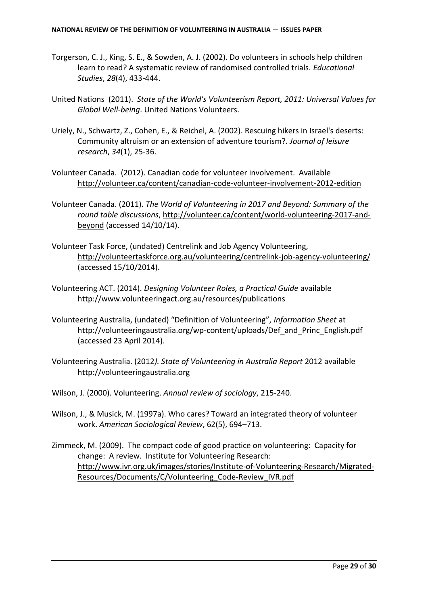- Torgerson, C. J., King, S. E., & Sowden, A. J. (2002). Do volunteers in schools help children learn to read? A systematic review of randomised controlled trials. *Educational Studies*, *28*(4), 433-444.
- United Nations (2011). *State of the World's Volunteerism Report, 2011: Universal Values for Global Well-being*. United Nations Volunteers.
- Uriely, N., Schwartz, Z., Cohen, E., & Reichel, A. (2002). Rescuing hikers in Israel's deserts: Community altruism or an extension of adventure tourism?. *Journal of leisure research*, *34*(1), 25-36.
- Volunteer Canada. (2012). Canadian code for volunteer involvement. Available <http://volunteer.ca/content/canadian-code-volunteer-involvement-2012-edition>
- Volunteer Canada. (2011). *The World of Volunteering in 2017 and Beyond: Summary of the round table discussions*, [http://volunteer.ca/content/world-volunteering-2017-and](http://volunteer.ca/content/world-volunteering-2017-and-beyond)[beyond](http://volunteer.ca/content/world-volunteering-2017-and-beyond) (accessed 14/10/14).
- Volunteer Task Force, (undated) Centrelink and Job Agency Volunteering, <http://volunteertaskforce.org.au/volunteering/centrelink-job-agency-volunteering/> (accessed 15/10/2014).
- Volunteering ACT. (2014). *Designing Volunteer Roles, a Practical Guide* available http://www.volunteeringact.org.au/resources/publications
- Volunteering Australia, (undated) "Definition of Volunteering", *Information Sheet* at http://volunteeringaustralia.org/wp-content/uploads/Def\_and\_Princ\_English.pdf (accessed 23 April 2014).
- Volunteering Australia. (2012*). State of Volunteering in Australia Report* 2012 available http://volunteeringaustralia.org
- Wilson, J. (2000). Volunteering. *Annual review of sociology*, 215-240.
- Wilson, J., & Musick, M. (1997a). Who cares? Toward an integrated theory of volunteer work. *American Sociological Review*, 62(5), 694–713.
- Zimmeck, M. (2009). The compact code of good practice on volunteering: Capacity for change: A review. Institute for Volunteering Research: [http://www.ivr.org.uk/images/stories/Institute-of-Volunteering-Research/Migrated-](http://www.ivr.org.uk/images/stories/Institute-of-Volunteering-Research/Migrated-Resources/Documents/C/Volunteering_Code-Review_IVR.pdf)[Resources/Documents/C/Volunteering\\_Code-Review\\_IVR.pdf](http://www.ivr.org.uk/images/stories/Institute-of-Volunteering-Research/Migrated-Resources/Documents/C/Volunteering_Code-Review_IVR.pdf)